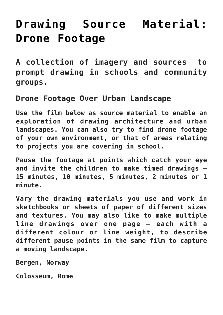## **[Drawing Source Material:](https://www.accessart.org.uk/drawing-source-material-drone-footage/) [Drone Footage](https://www.accessart.org.uk/drawing-source-material-drone-footage/)**

**A collection of imagery and sources to prompt drawing in schools and community groups.** 

**Drone Footage Over Urban Landscape**

**Use the film below as source material to enable an exploration of drawing architecture and urban landscapes. You can also try to find drone footage of your own environment, or that of areas relating to projects you are covering in school.**

**Pause the footage at points which catch your eye and invite the children to make timed drawings – 15 minutes, 10 minutes, 5 minutes, 2 minutes or 1 minute.** 

**Vary the drawing materials you use and work in sketchbooks or sheets of paper of different sizes and textures. You may also like to make multiple line drawings over one page – each with a different colour or line weight, to describe different pause points in the same film to capture a moving landscape.** 

**Bergen, Norway**

**Colosseum, Rome**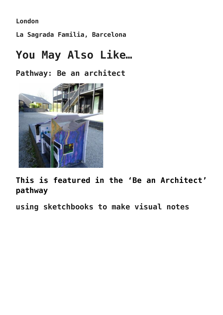**London**

**La Sagrada Familia, Barcelona**

## **You May Also Like…**

**Pathway: Be an architect**



**[This is featured in the 'Be an Architect'](https://www.accessart.org.uk/be-an-architect/) [pathway](https://www.accessart.org.uk/be-an-architect/)**

**using sketchbooks to make visual notes**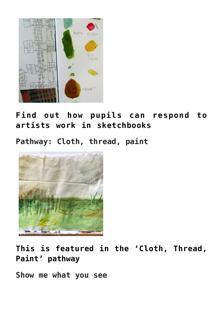

**[Find out how pupils can respond to](https://www.accessart.org.uk/visual-notes/) [artists work in sketchbooks](https://www.accessart.org.uk/visual-notes/)**

**Pathway: Cloth, thread, paint**



**[This is featured in the 'Cloth, Thread,](https://www.accessart.org.uk/cloth-thread-paint/) [Paint' pathway](https://www.accessart.org.uk/cloth-thread-paint/)**

**Show me what you see**